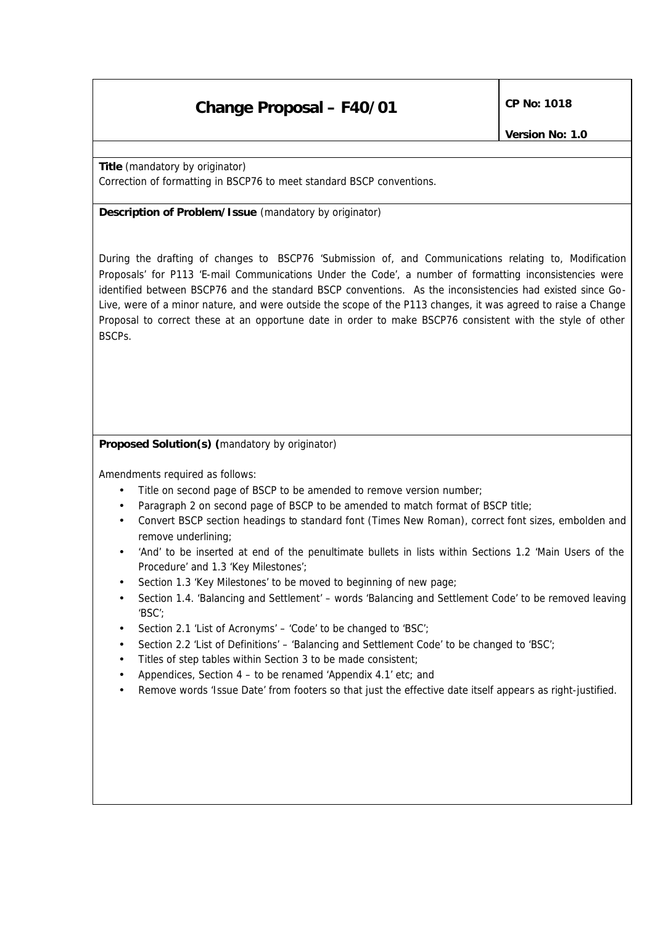# **Change Proposal – F40/01** CP No: 1018

**Title** *(mandatory by originator)* Correction of formatting in BSCP76 to meet standard BSCP conventions.

**Description of Problem/Issue** *(mandatory by originator)*

During the drafting of changes to BSCP76 'Submission of, and Communications relating to, Modification Proposals' for P113 'E-mail Communications Under the Code', a number of formatting inconsistencies were identified between BSCP76 and the standard BSCP conventions. As the inconsistencies had existed since Go-Live, were of a minor nature, and were outside the scope of the P113 changes, it was agreed to raise a Change Proposal to correct these at an opportune date in order to make BSCP76 consistent with the style of other BSCPs.

**Proposed Solution(s)** *(mandatory by originator)*

Amendments required as follows:

- Title on second page of BSCP to be amended to remove version number;
- Paragraph 2 on second page of BSCP to be amended to match format of BSCP title;
- Convert BSCP section headings to standard font (Times New Roman), correct font sizes, embolden and remove underlining;
- 'And' to be inserted at end of the penultimate bullets in lists within Sections 1.2 'Main Users of the Procedure' and 1.3 'Key Milestones';
- Section 1.3 'Key Milestones' to be moved to beginning of new page;
- Section 1.4. 'Balancing and Settlement' words 'Balancing and Settlement Code' to be removed leaving 'BSC';
- Section 2.1 'List of Acronyms' 'Code' to be changed to 'BSC';
- Section 2.2 'List of Definitions' 'Balancing and Settlement Code' to be changed to 'BSC';
- Titles of step tables within Section 3 to be made consistent;
- Appendices, Section 4 to be renamed 'Appendix 4.1' etc; and
- Remove words 'Issue Date' from footers so that just the effective date itself appears as right-justified.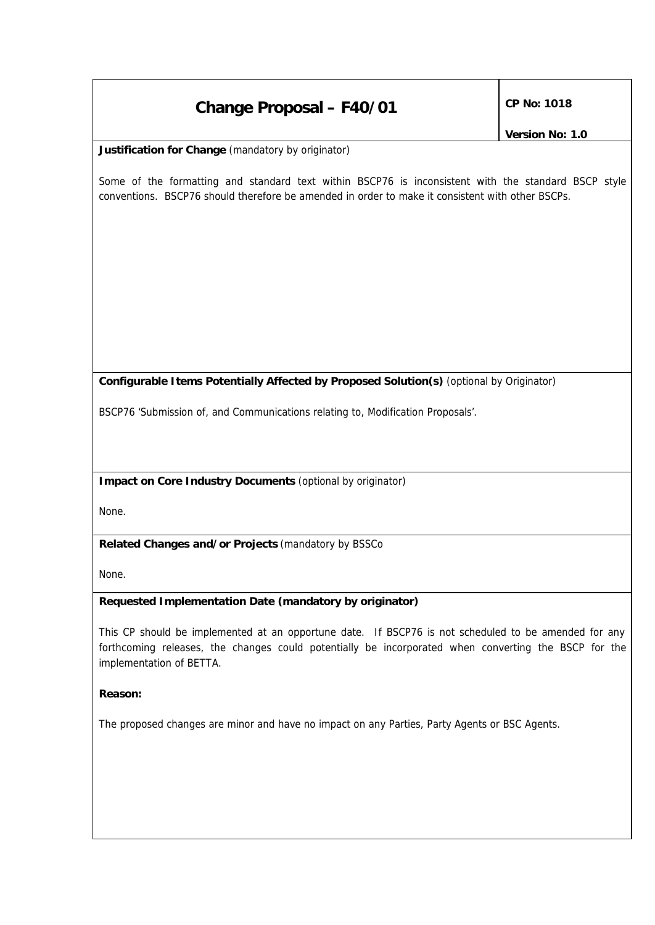## **Change Proposal – F40/01** CP No: 1018

**Justification for Change** *(mandatory by originator)*

Some of the formatting and standard text within BSCP76 is inconsistent with the standard BSCP style conventions. BSCP76 should therefore be amended in order to make it consistent with other BSCPs.

## **Configurable Items Potentially Affected by Proposed Solution(s)** *(optional by Originator)*

BSCP76 'Submission of, and Communications relating to, Modification Proposals'.

**Impact on Core Industry Documents** *(optional by originator)*

None.

**Related Changes and/or Projects** *(mandatory by BSSCo*

None.

### **Requested Implementation Date** *(mandatory by originator)*

This CP should be implemented at an opportune date. If BSCP76 is not scheduled to be amended for any forthcoming releases, the changes could potentially be incorporated when converting the BSCP for the implementation of BETTA.

### **Reason:**

The proposed changes are minor and have no impact on any Parties, Party Agents or BSC Agents.